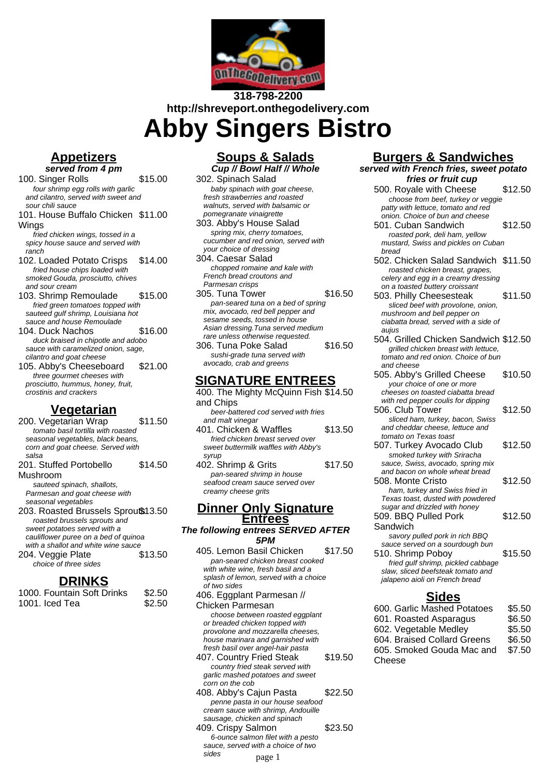

# **318-798-2200 http://shreveport.onthegodelivery.com Abby Singers Bistro**

#### **Appetizers served from 4 pm**

100. Singer Rolls \$15.00 four shrimp egg rolls with garlic and cilantro, served with sweet and

sour chili sauce 101. House Buffalo Chicken \$11.00 **Wings** 

fried chicken wings, tossed in a spicy house sauce and served with ranch

- 102. Loaded Potato Crisps \$14.00 fried house chips loaded with smoked Gouda, prosciutto, chives and sour cream
- 103. Shrimp Remoulade \$15.00 fried green tomatoes topped with sauteed gulf shrimp, Louisiana hot sauce and house Remoulade
- 104. Duck Nachos \$16.00 duck braised in chipotle and adobo sauce with caramelized onion, sage, cilantro and goat cheese
- 105. Abby's Cheeseboard \$21.00 three gourmet cheeses with prosciutto, hummus, honey, fruit, crostinis and crackers

## **Vegetarian**

200. Vegetarian Wrap \$11.50 tomato basil tortilla with roasted seasonal vegetables, black beans, corn and goat cheese. Served with salsa 201. Stuffed Portobello \$14.50

Mushroom sauteed spinach, shallots, Parmesan and goat cheese with seasonal vegetables

203. Roasted Brussels Sprout \$13.50 roasted brussels sprouts and sweet potatoes served with a cauliflower puree on a bed of quinoa with a shallot and white wine sauce 204. Veggie Plate \$13.50 choice of three sides

### **DRINKS**

| 1000. Fountain Soft Drinks | \$2.50 |
|----------------------------|--------|
| 1001. Iced Tea             | \$2.50 |

### **Soups & Salads Cup // Bowl Half // Whole**

302. Spinach Salad baby spinach with goat cheese, fresh strawberries and roasted walnuts, served with balsamic or pomegranate vinaigrette

303. Abby's House Salad spring mix, cherry tomatoes, cucumber and red onion, served with your choice of dressing

304. Caesar Salad chopped romaine and kale with French bread croutons and Parmesan crisps

305. Tuna Tower \$16.50 pan-seared tuna on a bed of spring mix, avocado, red bell pepper and sesame seeds, tossed in house Asian dressing.Tuna served medium rare unless otherwise requested.

306. Tuna Poke Salad \$16.50 sushi-grade tuna served with avocado, crab and greens

### **SIGNATURE ENTREES**

- 400. The Mighty McQuinn Fish \$14.50 and Chips beer-battered cod served with fries and malt vinegar 401. Chicken & Waffles \$13.50
- fried chicken breast served over sweet buttermilk waffles with Abby's syrup

402. Shrimp & Grits \$17.50 pan-seared shrimp in house seafood cream sauce served over creamy cheese grits

### **Dinner Only Signature Entrees**

#### **The following entrees SERVED AFTER 5PM**

405. Lemon Basil Chicken \$17.50 pan-seared chicken breast cooked with white wine, fresh basil and a splash of lemon, served with a choice of two sides 406. Eggplant Parmesan // Chicken Parmesan choose between roasted eggplant or breaded chicken topped with provolone and mozzarella cheeses, house marinara and garnished with fresh basil over angel-hair pasta 407. Country Fried Steak \$19.50 country fried steak served with garlic mashed potatoes and sweet corn on the cob 408. Abby's Cajun Pasta \$22.50 penne pasta in our house seafood cream sauce with shrimp, Andouille sausage, chicken and spinach 409. Crispy Salmon \$23.50 6-ounce salmon filet with a pesto sauce, served with a choice of two sides page 1

### **Burgers & Sandwiches**

**served with French fries, sweet potato fries or fruit cup** 500. Royale with Cheese \$12.50 choose from beef, turkey or veggie patty with lettuce, tomato and red onion. Choice of bun and cheese 501. Cuban Sandwich \$12.50 roasted pork, deli ham, yellow mustard, Swiss and pickles on Cuban bread 502. Chicken Salad Sandwich \$11.50 roasted chicken breast, grapes, celery and egg in a creamy dressing on a toasted buttery croissant 503. Philly Cheesesteak \$11.50 sliced beef with provolone, onion, mushroom and bell pepper on ciabatta bread, served with a side of aujus 504. Grilled Chicken Sandwich \$12.50 grilled chicken breast with lettuce, tomato and red onion. Choice of bun and cheese 505. Abby's Grilled Cheese \$10.50 your choice of one or more cheeses on toasted ciabatta bread with red pepper coulis for dipping 506. Club Tower \$12.50 sliced ham, turkey, bacon, Swiss and cheddar cheese, lettuce and tomato on Texas toast 507. Turkey Avocado Club \$12.50 smoked turkey with Sriracha sauce, Swiss, avocado, spring mix and bacon on whole wheat bread 508. Monte Cristo \$12.50 ham, turkey and Swiss fried in Texas toast, dusted with powdered sugar and drizzled with honey 509. BBQ Pulled Pork Sandwich \$12.50 savory pulled pork in rich BBQ sauce served on a sourdough bun 510. Shrimp Poboy \$15.50 fried gulf shrimp, pickled cabbage slaw, sliced beefsteak tomato and jalapeno aioli on French bread **Sides**

| 600. Garlic Mashed Potatoes | \$5.50 |
|-----------------------------|--------|
| 601. Roasted Asparagus      | \$6.50 |
| 602. Vegetable Medley       | \$5.50 |
| 604. Braised Collard Greens | \$6.50 |
| 605. Smoked Gouda Mac and   | \$7.50 |
| Cheese                      |        |